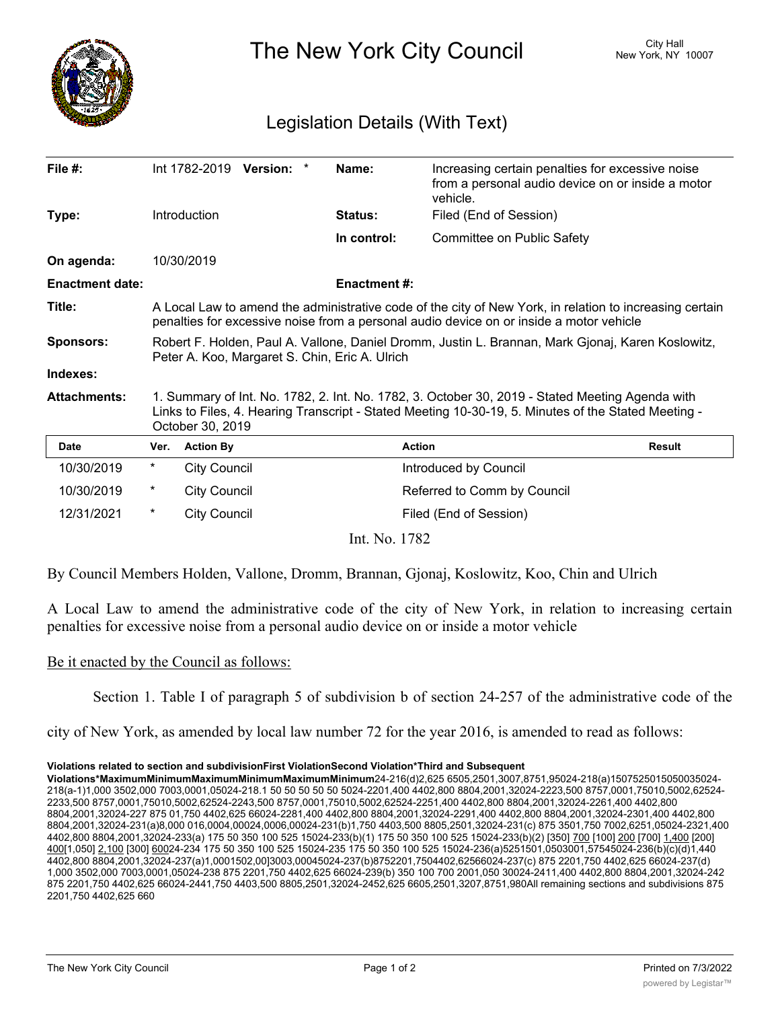

The New York City Council New York, NY 10007

## Legislation Details (With Text)

| File #:                |                                                                                                                                                                                                                            | Int 1782-2019 Version: * |  |  | Name:              | Increasing certain penalties for excessive noise<br>from a personal audio device on or inside a motor<br>vehicle. |               |
|------------------------|----------------------------------------------------------------------------------------------------------------------------------------------------------------------------------------------------------------------------|--------------------------|--|--|--------------------|-------------------------------------------------------------------------------------------------------------------|---------------|
| Type:                  |                                                                                                                                                                                                                            | Introduction             |  |  | Status:            | Filed (End of Session)                                                                                            |               |
|                        |                                                                                                                                                                                                                            |                          |  |  | In control:        | Committee on Public Safety                                                                                        |               |
| On agenda:             |                                                                                                                                                                                                                            | 10/30/2019               |  |  |                    |                                                                                                                   |               |
| <b>Enactment date:</b> |                                                                                                                                                                                                                            |                          |  |  | <b>Enactment#:</b> |                                                                                                                   |               |
| Title:                 | A Local Law to amend the administrative code of the city of New York, in relation to increasing certain<br>penalties for excessive noise from a personal audio device on or inside a motor vehicle                         |                          |  |  |                    |                                                                                                                   |               |
| <b>Sponsors:</b>       | Robert F. Holden, Paul A. Vallone, Daniel Dromm, Justin L. Brannan, Mark Gjonaj, Karen Koslowitz,<br>Peter A. Koo, Margaret S. Chin, Eric A. Ulrich                                                                        |                          |  |  |                    |                                                                                                                   |               |
| Indexes:               |                                                                                                                                                                                                                            |                          |  |  |                    |                                                                                                                   |               |
| <b>Attachments:</b>    | 1. Summary of Int. No. 1782, 2. Int. No. 1782, 3. October 30, 2019 - Stated Meeting Agenda with<br>Links to Files, 4. Hearing Transcript - Stated Meeting 10-30-19, 5. Minutes of the Stated Meeting -<br>October 30, 2019 |                          |  |  |                    |                                                                                                                   |               |
| <b>Date</b>            | Ver.                                                                                                                                                                                                                       | <b>Action By</b>         |  |  |                    | <b>Action</b>                                                                                                     | <b>Result</b> |
| 10/30/2019             | *                                                                                                                                                                                                                          | <b>City Council</b>      |  |  |                    | Introduced by Council                                                                                             |               |
| 10/30/2019             | $^\star$                                                                                                                                                                                                                   | <b>City Council</b>      |  |  |                    | Referred to Comm by Council                                                                                       |               |
| 12/31/2021             | $^\star$                                                                                                                                                                                                                   | <b>City Council</b>      |  |  |                    | Filed (End of Session)                                                                                            |               |
| Int. No. 1782          |                                                                                                                                                                                                                            |                          |  |  |                    |                                                                                                                   |               |

By Council Members Holden, Vallone, Dromm, Brannan, Gjonaj, Koslowitz, Koo, Chin and Ulrich

A Local Law to amend the administrative code of the city of New York, in relation to increasing certain penalties for excessive noise from a personal audio device on or inside a motor vehicle

## Be it enacted by the Council as follows:

Section 1. Table I of paragraph 5 of subdivision b of section 24-257 of the administrative code of the

city of New York, as amended by local law number 72 for the year 2016, is amended to read as follows:

## Violations related to section and subdivisionFirst ViolationSecond Violation\*Third and Subsequent

**Violations\*MaximumMinimumMaximumMinimumMaximumMinimum<code>24-216(d)2,625 6505,2501,3007,8751,95024-218(a)1507525015050035024-</mark>**</code> 218(a-1)1,000 3502,000 7003,0001,05024-218.1 50 50 50 50 50 5024-2201,400 4402,800 8804,2001,32024-2223,500 8757,0001,75010,5002,62524-2233,500 8757,0001,75010,5002,62524-2243,500 8757,0001,75010,5002,62524-2251,400 4402,800 8804,2001,32024-2261,400 4402,800 8804,2001,32024-227 875 01,750 4402,625 66024-2281,400 4402,800 8804,2001,32024-2291,400 4402,800 8804,2001,32024-2301,400 4402,800 8804,2001,32024-231(a)8,000 016,0004,00024,0006,00024-231(b)1,750 4403,500 8805,2501,32024-231(c) 875 3501,750 7002,6251,05024-2321,400 4402,800 8804,2001,32024-233(a) 175 50 350 100 525 15024-233(b)(1) 175 50 350 100 525 15024-233(b)(2) [350] <u>700</u> [100] <u>200</u> [700] <u>1,400</u> [200]  $\underline{400}$ [1,050] <u>2,100</u> [300] 60024-234 175 50 350 100 525 15024-235 175 50 350 100 525 15024-236(a)5251501,0503001,57545024-236(b)(c)(d)1,440 4402,800 8804,2001,32024-237(a)1,0001502,00]3003,00045024-237(b)8752201,7504402,62566024-237(c) 875 2201,750 4402,625 66024-237(d) 1,000 3502,000 7003,0001,05024-238 875 2201,750 4402,625 66024-239(b) 350 100 700 2001,050 30024-2411,400 4402,800 8804,2001,32024-242 875 2201,750 4402,625 66024-2441,750 4403,500 8805,2501,32024-2452,625 6605,2501,3207,8751,980All remaining sections and subdivisions 875 2201,750 4402,625 660